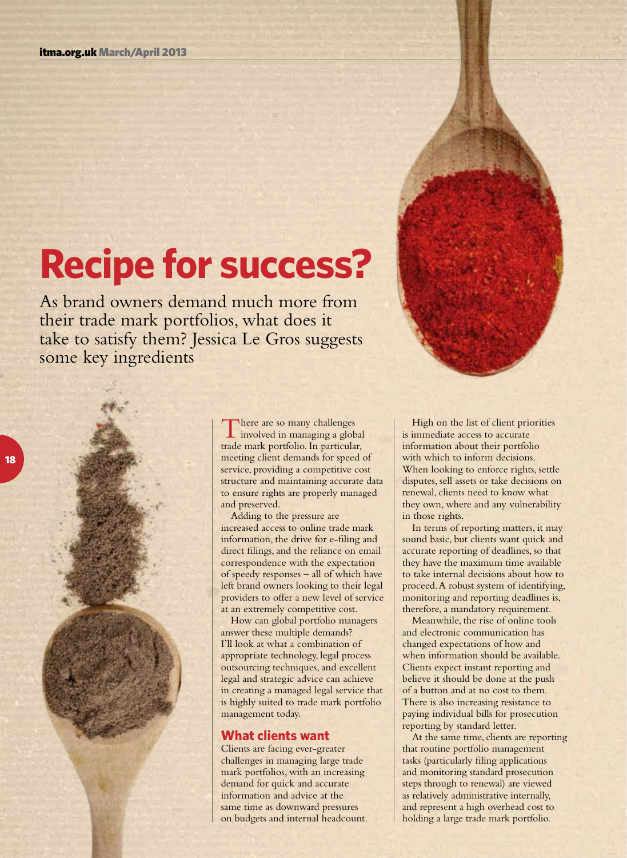# **Recipe for success?**

As brand owners demand much more from their trade mark portfolios, what does it take to satisfy them? Jessica Le Gros suggests some key ingredients

> There are so many challenges<br>involved in managing a global trade mark portfolio. In particular, meeting client demands for speed of service, providing a competitive cost structure and maintaining accurate data to ensure rights are properly managed and preserved.

Adding to the pressure are increased access to online trade mark information, the drive for e-filing and direct filings, and the reliance on email correspondence with the expectation of speedy responses – all of which have left brand owners looking to their legal providers to offer a new level of service at an extremely competitive cost.

How can global portfolio managers answer these multiple demands? I'll look at what a combination of appropriate technology, legal process outsourcing techniques, and excellent legal and strategic advice can achieve in creating a managed legal service that is highly suited to trade mark portfolio management today.

#### **What clients want**

Clients are facing ever-greater challenges in managing large trade mark portfolios, with an increasing demand for quick and accurate information and advice at the same time as downward pressures on budgets and internal headcount.

High on the list of client priorities is immediate access to accurate information about their portfolio with which to inform decisions. When looking to enforce rights, settle disputes, sell assets or take decisions on renewal, clients need to know what they own, where and any vulnerability in those rights.

In terms of reporting matters, it may sound basic, but clients want quick and accurate reporting of deadlines, so that they have the maximum time available to take internal decisions about how to proceed. A robust system of identifying, monitoring and reporting deadlines is, therefore, a mandatory requirement.

Meanwhile, the rise of online tools and electronic communication has changed expectations of how and when information should be available. Clients expect instant reporting and believe it should be done at the push of a button and at no cost to them. There is also increasing resistance to paying individual bills for prosecution reporting by standard letter.

At the same time, clients are reporting that routine portfolio management tasks (particularly filing applications and monitoring standard prosecution steps through to renewal) are viewed as relatively administrative internally, and represent a high overhead cost to holding a large trade mark portfolio.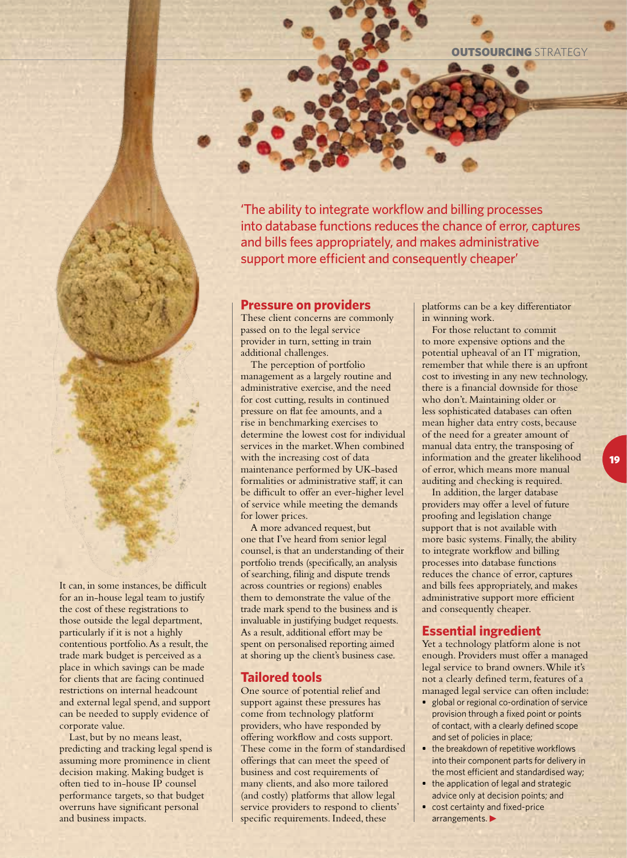**OUTSOURCING STRATEGY** 

'The ability to integrate workflow and billing processes into database functions reduces the chance of error, captures and bills fees appropriately, and makes administrative support more efficient and consequently cheaper'

#### **Pressure on providers**

These client concerns are commonly passed on to the legal service provider in turn, setting in train additional challenges.

The perception of portfolio management as a largely routine and administrative exercise, and the need for cost cutting, results in continued pressure on flat fee amounts, and a rise in benchmarking exercises to determine the lowest cost for individual services in the market. When combined with the increasing cost of data maintenance performed by UK-based formalities or administrative staff, it can be difficult to offer an ever-higher level of service while meeting the demands for lower prices.

A more advanced request, but one that I've heard from senior legal counsel, is that an understanding of their portfolio trends (specifically, an analysis of searching, filing and dispute trends across countries or regions) enables them to demonstrate the value of the trade mark spend to the business and is invaluable in justifying budget requests. As a result, additional effort may be spent on personalised reporting aimed at shoring up the client's business case.

#### **Tailored tools**

One source of potential relief and support against these pressures has come from technology platform providers, who have responded by offering workflow and costs support. These come in the form of standardised offerings that can meet the speed of business and cost requirements of many clients, and also more tailored (and costly) platforms that allow legal service providers to respond to clients' specific requirements. Indeed, these

platforms can be a key differentiator in winning work.

For those reluctant to commit to more expensive options and the potential upheaval of an IT migration, remember that while there is an upfront cost to investing in any new technology, there is a financial downside for those who don't. Maintaining older or less sophisticated databases can often mean higher data entry costs, because of the need for a greater amount of manual data entry, the transposing of information and the greater likelihood of error, which means more manual auditing and checking is required.

In addition, the larger database providers may offer a level of future proofing and legislation change support that is not available with more basic systems. Finally, the ability to integrate workflow and billing processes into database functions reduces the chance of error, captures and bills fees appropriately, and makes administrative support more efficient and consequently cheaper.

#### **Essential ingredient**

Yet a technology platform alone is not enough. Providers must offer a managed legal service to brand owners. While it's not a clearly defined term, features of a managed legal service can often include:

- **•** global or regional co-ordination of service provision through a fixed point or points of contact, with a clearly defined scope and set of policies in place;
- **•** the breakdown of repetitive workflows into their component parts for delivery in the most efficient and standardised way;
- **•** the application of legal and strategic advice only at decision points; and
- **•** cost certainty and fixed-price arrangements.

It can, in some instances, be difficult for an in-house legal team to justify the cost of these registrations to those outside the legal department, particularly if it is not a highly contentious portfolio. As a result, the trade mark budget is perceived as a place in which savings can be made for clients that are facing continued restrictions on internal headcount and external legal spend, and support can be needed to supply evidence of corporate value.

Last, but by no means least, predicting and tracking legal spend is assuming more prominence in client decision making. Making budget is often tied to in-house IP counsel performance targets, so that budget overruns have significant personal and business impacts.